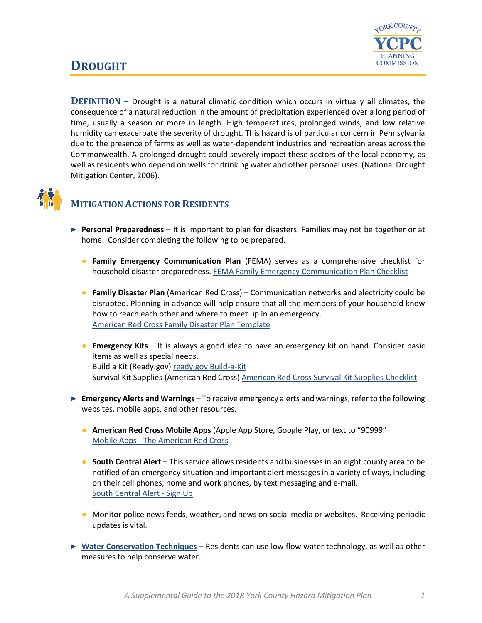

## **DROUGHT**

**DEFINITION –** Drought is a natural climatic condition which occurs in virtually all climates, the consequence of a natural reduction in the amount of precipitation experienced over a long period of time, usually a season or more in length. High temperatures, prolonged winds, and low relative humidity can exacerbate the severity of drought. This hazard is of particular concern in Pennsylvania due to the presence of farms as well as water-dependent industries and recreation areas across the Commonwealth. A prolonged drought could severely impact these sectors of the local economy, as well as residents who depend on wells for drinking water and other personal uses. (National Drought Mitigation Center, 2006).



## **MITIGATION ACTIONS FOR RESIDENTS**

- ► **Personal Preparedness** It is important to plan for disasters. Families may not be together or at home. Consider completing the following to be prepared.
	- **Family Emergency Communication Plan** (FEMA) serves as a comprehensive checklist for household disaster preparedness. [FEMA Family Emergency Communication Plan Checklist](https://www.fema.gov/media-library-data/1530826217620-10775bfcb5d7600be8e6b88308b24d8c/P1094_CreateYourFamilyEmergencyCommunicationPlan_070318.pdf)
	- **Family Disaster Plan** (American Red Cross) Communication networks and electricity could be disrupted. Planning in advance will help ensure that all the members of your household know how to reach each other and where to meet up in an emergency. [American Red Cross Family Disaster Plan Template](https://www.redcross.org/content/dam/redcross/atg/PDF_s/Preparedness___Disaster_Recovery/General_Preparedness___Recovery/Home/ARC_Family_Disaster_Plan_Template_r083012.pdf)
	- **Emergency Kits** It is always a good idea to have an emergency kit on hand. Consider basic items as well as special needs. Build a Kit (Ready.gov) [ready.gov Build-a-Kit](https://www.ready.gov/build-a-kit) Survival Kit Supplies (American Red Cross) [American Red Cross Survival Kit Supplies Checklist](https://www.redcross.org/get-help/how-to-prepare-for-emergencies/survival-kit-supplies.html)
- ► **Emergency Alerts and Warnings** To receive emergency alerts and warnings, refer to the following websites, mobile apps, and other resources.
	- **American Red Cross Mobile Apps** (Apple App Store, Google Play, or text to "90999" Mobile Apps - [The American Red Cross](https://www.redcross.org/get-help/how-to-prepare-for-emergencies/mobile-apps.html)
	- **South Central Alert** This service allows residents and businesses in an eight county area to be notified of an emergency situation and important alert messages in a variety of ways, including on their cell phones, home and work phones, by text messaging and e-mail. [South Central Alert -](https://www.sctfpa.org/sc-alert.php) Sign Up
	- Monitor police news feeds, weather, and news on social media or websites. Receiving periodic updates is vital.
- ► **[Water Conservation Techniques](https://www.care2.com/greenliving/20-ways-to-conserve-water-at-home.html)** Residents can use low flow water technology, as well as other measures to help conserve water.